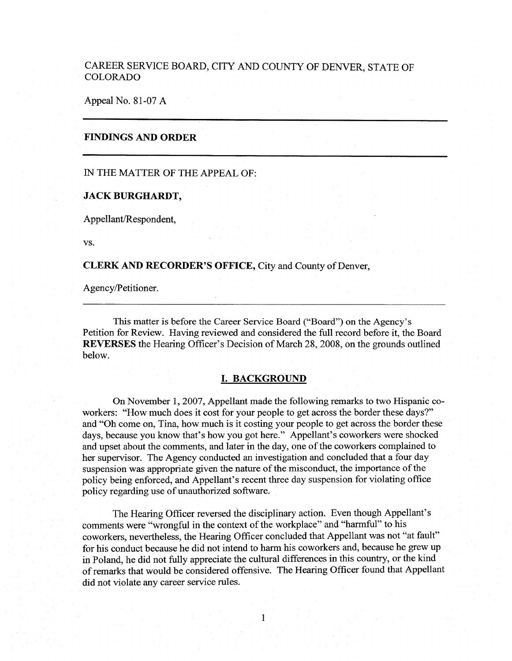# CAREER SERVICE BOARD, CITY AND COUNTY OF DENVER, STATE OF COLORADO

Appeal No. 81-07 A

## **FINDINGS AND ORDER**

IN THE MATTER OF THE APPEAL OF:

### **JACK BURGHARDT,**

Appellant/Respondent,

vs.

## **CLERK AND RECORDER'S OFFICE,** City and County of Denver,

Agency/Petitioner.

This matter is before the Career Service Board ("Board") on the Agency's Petition for Review. Having reviewed and considered the full record before it, the Board **REVERSES** the Hearing Officer's Decision of March 28, 2008, on the grounds outlined below.

#### **I. BACKGROUND**

On November 1, 2007, Appellant made the following remarks to two Hispanic coworkers: "How much does it cost for your people to get across the border these days?" and "Oh come on, Tina, how much is it costing your people to get across the border these days, because you know that's how you got here." Appellant's coworkers were shocked and upset about the comments, and later in the day, one of the coworkers complained to her supervisor. The Agency conducted an investigation and concluded that a four day suspension was appropriate given the nature of the misconduct, the importance of the policy being enforced, and Appellant's recent three day suspension for violating office policy regarding use of unauthorized software.

The Hearing Officer reversed the disciplinary action. Even though Appellant's comments were "wrongful in the context of the workplace" and "harmful" to his coworkers, nevertheless, the Hearing Officer concluded that Appellant was not "at fault" for his conduct because he did not intend to harm his coworkers and, because he grew up in Poland, he did not fully appreciate the cultural differences in this country, or the kind of remarks that would be considered offensive. The Hearing Officer found that Appellant did not violate any career service rules.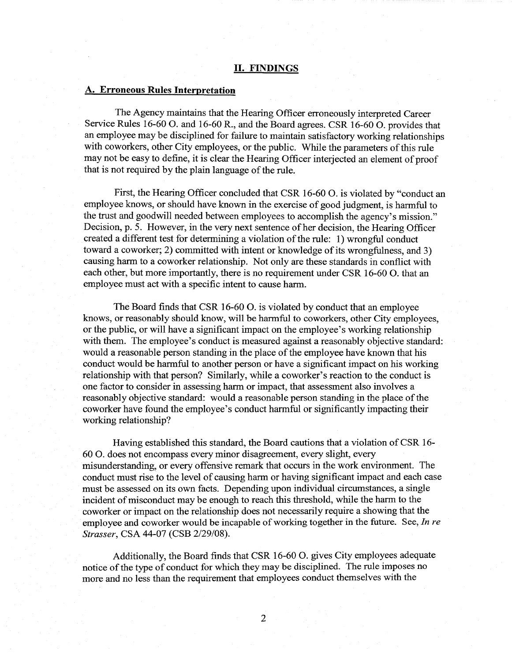#### **II. FINDINGS**

#### **A. Erroneous Rules Interpretation**

The Agency maintains that the Hearing Officer erroneously interpreted Career Service Rules 16-60 O. and 16-60 R., and the Board agrees. CSR 16-60 O. provides that an employee may be disciplined for failure to maintain satisfactory working relationships with coworkers, other City employees, or the public. While the parameters of this rule may not be easy to define, it is clear the Hearing Officer interjected an element of proof that is not required by the plain language of the rule.

First, the Hearing Officer concluded that CSR 16-60 0. is violated by "conduct an employee knows, or should have known in the exercise of good judgment, is harmful to the trust and goodwill needed between employees to accomplish the agency's mission." Decision, p. 5. However, in the very next sentence of her decision, the Hearing Officer created a different test for determining a violation of the rule: 1) wrongful conduct toward a coworker; 2) committed with intent or knowledge of its wrongfulness, and 3) causing harm to a coworker relationship. Not only are these standards in conflict with each other, but more importantly, there is no requirement under CSR 16-60 0. that an employee must act with a specific intent to cause harm.

The Board finds that CSR 16-60 0. is violated by conduct that an employee knows, or reasonably should know, will be harmful to coworkers, other City employees, or the public, or will have a significant impact on the employee's working relationship with them. The employee's conduct is measured against a reasonably objective standard: would a reasonable person standing in the place of the employee have known that his conduct would be harmful to another person or have a significant impact on his working relationship with that person? Similarly, while a coworker's reaction to the conduct is one factor to consider in assessing harm or impact, that assessment also involves a reasonably objective standard: would a reasonable person standing in the place of the coworker have found the employee's conduct harmful or significantly impacting their working relationship?

Having established this standard, the Board cautions that a violation of CSR 16- 60 0. does not encompass every minor disagreement, every slight, every misunderstanding, or every offensive remark that occurs in the work environment. The conduct must rise to the level of causing harm or having significant impact and each case must be assessed on its own facts. Depending upon individual circumstances, a single incident of misconduct may be enough to reach this threshold, while the harm to the coworker or impact on the relationship does not necessarily require a showing that the employee and coworker would be incapable of working together in the future. See, *In re Strasser,* CSA 44-07 (CSB 2/29/08).

Additionally, the Board finds that CSR 16-60 0. gives City employees adequate notice of the type of conduct for which they may be disciplined. The rule imposes no more and no less than the requirement that employees conduct themselves with the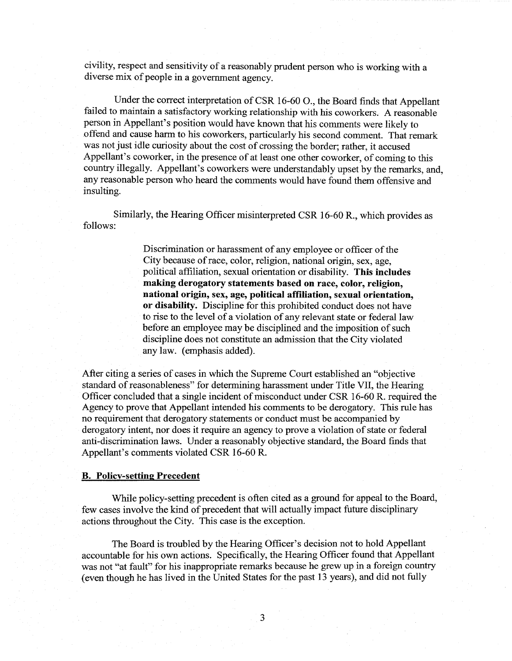civility, respect and sensitivity of a reasonably prudent person who is working with a diverse mix of people in a government agency.

Under the correct interpretation of CSR 16-60 0., the Board finds that Appellant failed to maintain a satisfactory working relationship with his coworkers. A reasonable person in Appellant's position would have known that his comments were likely to offend and cause harm to his coworkers, particularly his second comment. That remark was not just idle curiosity about the cost of crossing the border; rather, it accused Appellant's coworker, in the presence of at least one other coworker, of coming to this country illegally. Appellant's coworkers were understandably upset by the remarks, and, any reasonable person who heard the comments would have found them offensive and insulting.

Similarly, the Hearing Officer misinterpreted CSR 16-60 R., which provides as follows:

> Discrimination or harassment of any employee or officer of the City because of race, color, religion, national origin, sex, age, political affiliation, sexual orientation or disability. **This includes making derogatory statements based on race, color, religion, national origin, sex, age, political affiliation, sexual orientation,**  or disability. Discipline for this prohibited conduct does not have to rise to the level of a violation of any relevant state or federal law before an employee may be disciplined and the imposition of such discipline does not constitute an admission that the City violated any law. ( emphasis added).

After citing a series of cases in which the Supreme Court established an "objective standard of reasonableness" for determining harassment under Title VII, the Hearing Officer concluded that a single incident of misconduct under CSR 16-60 R. required the Agency to prove that Appellant intended his comments to be derogatory. This rule has no requirement that derogatory statements or conduct must be accompanied by derogatory intent, nor does it require an agency to prove a violation of state or federal anti-discrimination laws. Under a reasonably objective standard, the Board finds that Appellant's comments violated CSR 16-60 R.

#### **B. Policy-setting Precedent**

While policy-setting precedent is often cited as a ground for appeal to the Board, few cases involve the kind of precedent that will actually impact future disciplinary actions throughout the City. This case is the exception.

The Board is troubled by the Hearing Officer's decision not to hold Appellant accountable for his own actions. Specifically, the Hearing Officer found that Appellant was not "at fault" for his inappropriate remarks because he grew up in a foreign country (even though he has lived in the United States for the past 13 years), and did not fully